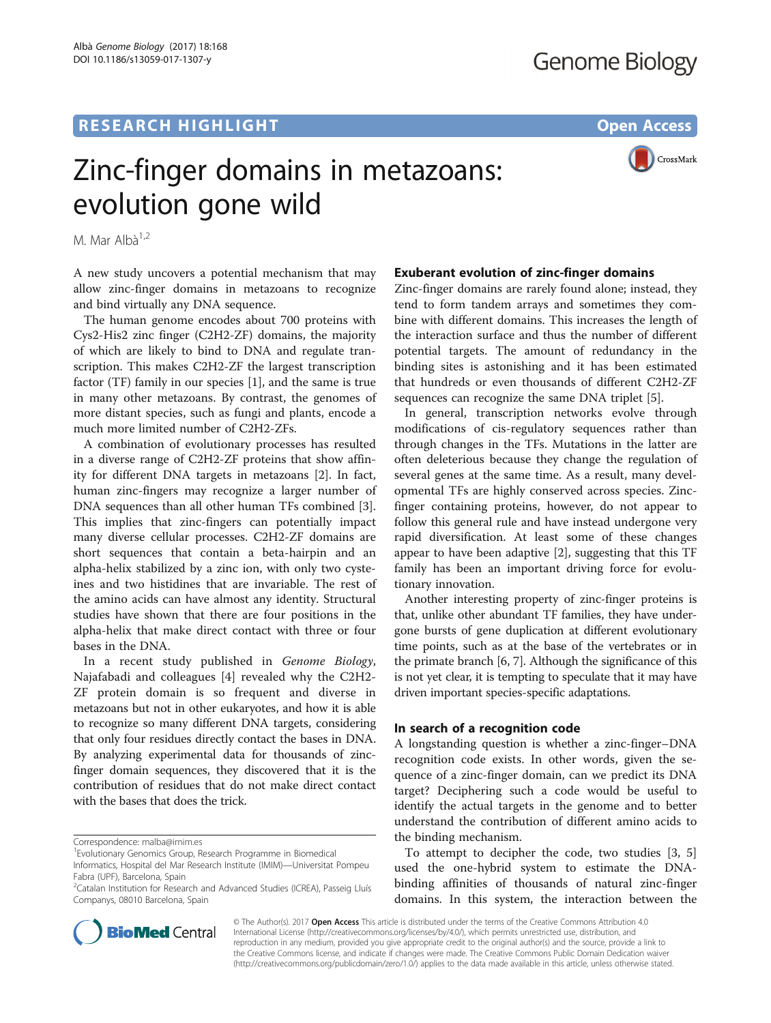# **RESEARCH HIGHLIGHT CONSUMING THE OPEN ACCESS**

CrossMark

# Zinc-finger domains in metazoans: evolution gone wild

M. Mar Albà<sup>1,2</sup>

A new study uncovers a potential mechanism that may allow zinc-finger domains in metazoans to recognize and bind virtually any DNA sequence.

The human genome encodes about 700 proteins with Cys2-His2 zinc finger (C2H2-ZF) domains, the majority of which are likely to bind to DNA and regulate transcription. This makes C2H2-ZF the largest transcription factor (TF) family in our species [\[1](#page-1-0)], and the same is true in many other metazoans. By contrast, the genomes of more distant species, such as fungi and plants, encode a much more limited number of C2H2-ZFs.

A combination of evolutionary processes has resulted in a diverse range of C2H2-ZF proteins that show affinity for different DNA targets in metazoans [\[2\]](#page-1-0). In fact, human zinc-fingers may recognize a larger number of DNA sequences than all other human TFs combined [\[3](#page-2-0)]. This implies that zinc-fingers can potentially impact many diverse cellular processes. C2H2-ZF domains are short sequences that contain a beta-hairpin and an alpha-helix stabilized by a zinc ion, with only two cysteines and two histidines that are invariable. The rest of the amino acids can have almost any identity. Structural studies have shown that there are four positions in the alpha-helix that make direct contact with three or four bases in the DNA.

In a recent study published in Genome Biology, Najafabadi and colleagues [[4\]](#page-2-0) revealed why the C2H2- ZF protein domain is so frequent and diverse in metazoans but not in other eukaryotes, and how it is able to recognize so many different DNA targets, considering that only four residues directly contact the bases in DNA. By analyzing experimental data for thousands of zincfinger domain sequences, they discovered that it is the contribution of residues that do not make direct contact with the bases that does the trick.

# Exuberant evolution of zinc-finger domains

Zinc-finger domains are rarely found alone; instead, they tend to form tandem arrays and sometimes they combine with different domains. This increases the length of the interaction surface and thus the number of different potential targets. The amount of redundancy in the binding sites is astonishing and it has been estimated that hundreds or even thousands of different C2H2-ZF sequences can recognize the same DNA triplet [[5\]](#page-2-0).

In general, transcription networks evolve through modifications of cis-regulatory sequences rather than through changes in the TFs. Mutations in the latter are often deleterious because they change the regulation of several genes at the same time. As a result, many developmental TFs are highly conserved across species. Zincfinger containing proteins, however, do not appear to follow this general rule and have instead undergone very rapid diversification. At least some of these changes appear to have been adaptive [[2\]](#page-1-0), suggesting that this TF family has been an important driving force for evolutionary innovation.

Another interesting property of zinc-finger proteins is that, unlike other abundant TF families, they have undergone bursts of gene duplication at different evolutionary time points, such as at the base of the vertebrates or in the primate branch [\[6, 7](#page-2-0)]. Although the significance of this is not yet clear, it is tempting to speculate that it may have driven important species-specific adaptations.

## In search of a recognition code

A longstanding question is whether a zinc-finger–DNA recognition code exists. In other words, given the sequence of a zinc-finger domain, can we predict its DNA target? Deciphering such a code would be useful to identify the actual targets in the genome and to better understand the contribution of different amino acids to the binding mechanism.

To attempt to decipher the code, two studies [[3, 5](#page-2-0)] used the one-hybrid system to estimate the DNAbinding affinities of thousands of natural zinc-finger domains. In this system, the interaction between the



© The Author(s). 2017 **Open Access** This article is distributed under the terms of the Creative Commons Attribution 4.0 International License [\(http://creativecommons.org/licenses/by/4.0/](http://creativecommons.org/licenses/by/4.0/)), which permits unrestricted use, distribution, and reproduction in any medium, provided you give appropriate credit to the original author(s) and the source, provide a link to the Creative Commons license, and indicate if changes were made. The Creative Commons Public Domain Dedication waiver [\(http://creativecommons.org/publicdomain/zero/1.0/](http://creativecommons.org/publicdomain/zero/1.0/)) applies to the data made available in this article, unless otherwise stated.

Correspondence: [malba@imim.es](mailto:malba@imim.es) <sup>1</sup>

<sup>&</sup>lt;sup>1</sup> Evolutionary Genomics Group, Research Programme in Biomedical Informatics, Hospital del Mar Research Institute (IMIM)—Universitat Pompeu

Fabra (UPF), Barcelona, Spain

<sup>&</sup>lt;sup>2</sup>Catalan Institution for Research and Advanced Studies (ICREA), Passeig Lluís Companys, 08010 Barcelona, Spain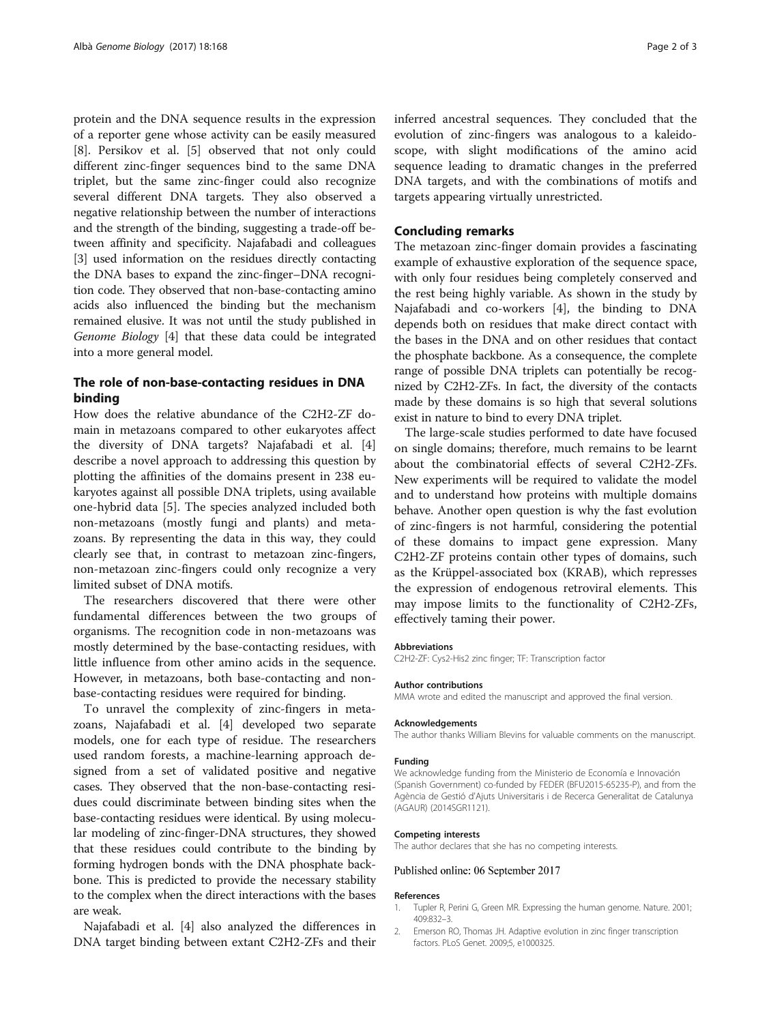<span id="page-1-0"></span>protein and the DNA sequence results in the expression of a reporter gene whose activity can be easily measured [[8\]](#page-2-0). Persikov et al. [\[5](#page-2-0)] observed that not only could different zinc-finger sequences bind to the same DNA triplet, but the same zinc-finger could also recognize several different DNA targets. They also observed a negative relationship between the number of interactions and the strength of the binding, suggesting a trade-off between affinity and specificity. Najafabadi and colleagues [[3\]](#page-2-0) used information on the residues directly contacting the DNA bases to expand the zinc-finger–DNA recognition code. They observed that non-base-contacting amino acids also influenced the binding but the mechanism remained elusive. It was not until the study published in Genome Biology [\[4](#page-2-0)] that these data could be integrated into a more general model.

# The role of non-base-contacting residues in DNA binding

How does the relative abundance of the C2H2-ZF domain in metazoans compared to other eukaryotes affect the diversity of DNA targets? Najafabadi et al. [\[4](#page-2-0)] describe a novel approach to addressing this question by plotting the affinities of the domains present in 238 eukaryotes against all possible DNA triplets, using available one-hybrid data [[5\]](#page-2-0). The species analyzed included both non-metazoans (mostly fungi and plants) and metazoans. By representing the data in this way, they could clearly see that, in contrast to metazoan zinc-fingers, non-metazoan zinc-fingers could only recognize a very limited subset of DNA motifs.

The researchers discovered that there were other fundamental differences between the two groups of organisms. The recognition code in non-metazoans was mostly determined by the base-contacting residues, with little influence from other amino acids in the sequence. However, in metazoans, both base-contacting and nonbase-contacting residues were required for binding.

To unravel the complexity of zinc-fingers in metazoans, Najafabadi et al. [\[4](#page-2-0)] developed two separate models, one for each type of residue. The researchers used random forests, a machine-learning approach designed from a set of validated positive and negative cases. They observed that the non-base-contacting residues could discriminate between binding sites when the base-contacting residues were identical. By using molecular modeling of zinc-finger-DNA structures, they showed that these residues could contribute to the binding by forming hydrogen bonds with the DNA phosphate backbone. This is predicted to provide the necessary stability to the complex when the direct interactions with the bases are weak.

Najafabadi et al. [\[4](#page-2-0)] also analyzed the differences in DNA target binding between extant C2H2-ZFs and their

inferred ancestral sequences. They concluded that the evolution of zinc-fingers was analogous to a kaleidoscope, with slight modifications of the amino acid sequence leading to dramatic changes in the preferred DNA targets, and with the combinations of motifs and targets appearing virtually unrestricted.

### Concluding remarks

The metazoan zinc-finger domain provides a fascinating example of exhaustive exploration of the sequence space, with only four residues being completely conserved and the rest being highly variable. As shown in the study by Najafabadi and co-workers [\[4\]](#page-2-0), the binding to DNA depends both on residues that make direct contact with the bases in the DNA and on other residues that contact the phosphate backbone. As a consequence, the complete range of possible DNA triplets can potentially be recognized by C2H2-ZFs. In fact, the diversity of the contacts made by these domains is so high that several solutions exist in nature to bind to every DNA triplet.

The large-scale studies performed to date have focused on single domains; therefore, much remains to be learnt about the combinatorial effects of several C2H2-ZFs. New experiments will be required to validate the model and to understand how proteins with multiple domains behave. Another open question is why the fast evolution of zinc-fingers is not harmful, considering the potential of these domains to impact gene expression. Many C2H2-ZF proteins contain other types of domains, such as the Krüppel-associated box (KRAB), which represses the expression of endogenous retroviral elements. This may impose limits to the functionality of C2H2-ZFs, effectively taming their power.

#### Abbreviations

C2H2-ZF: Cys2-His2 zinc finger; TF: Transcription factor

#### Author contributions

Acknowledgements

MMA wrote and edited the manuscript and approved the final version.

#### The author thanks William Blevins for valuable comments on the manuscript.

#### Funding

We acknowledge funding from the Ministerio de Economía e Innovación (Spanish Government) co-funded by FEDER (BFU2015-65235-P), and from the Agència de Gestió d'Ajuts Universitaris i de Recerca Generalitat de Catalunya (AGAUR) (2014SGR1121).

#### Competing interests

The author declares that she has no competing interests.

Published online: 06 September 2017

#### References

- 1. Tupler R, Perini G, Green MR. Expressing the human genome. Nature. 2001; 409:832–3.
- 2. Emerson RO, Thomas JH. Adaptive evolution in zinc finger transcription factors. PLoS Genet. 2009;5, e1000325.